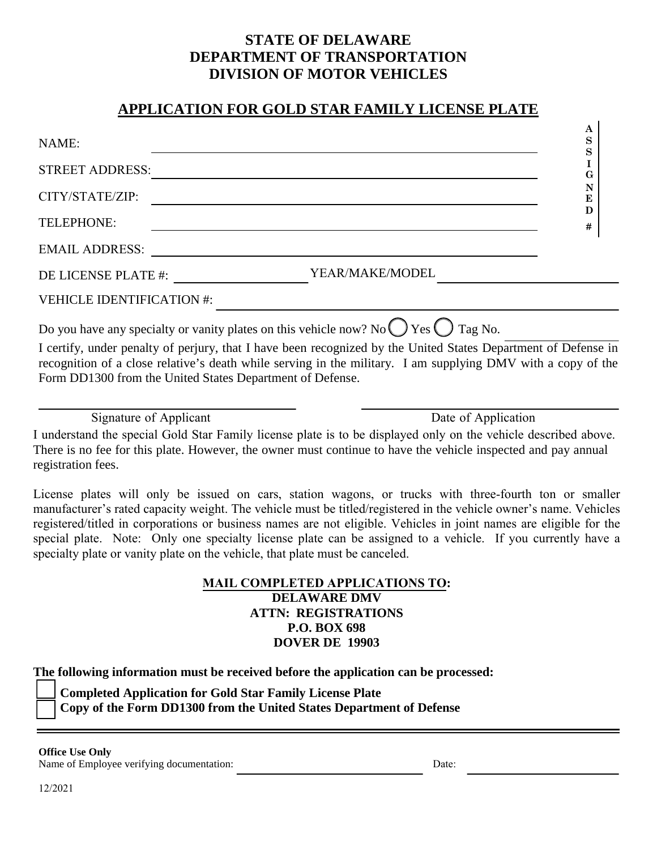# **STATE OF DELAWARE DEPARTMENT OF TRANSPORTATION DIVISION OF MOTOR VEHICLES**

## **APPLICATION FOR GOLD STAR FAMILY LICENSE PLATE**

| NAME:                                                                                                                                                                                                                          | ŦТ<br>S |
|--------------------------------------------------------------------------------------------------------------------------------------------------------------------------------------------------------------------------------|---------|
| <b>STREET ADDRESS:</b>                                                                                                                                                                                                         | G       |
| CITY/STATE/ZIP:                                                                                                                                                                                                                | N<br>E  |
| <b>TELEPHONE:</b>                                                                                                                                                                                                              | D<br>#  |
| <b>EMAIL ADDRESS:</b>                                                                                                                                                                                                          |         |
| YEAR/MAKE/MODEL<br>DE LICENSE PLATE #:                                                                                                                                                                                         |         |
| <b>VEHICLE IDENTIFICATION #:</b>                                                                                                                                                                                               |         |
| Do you have any specialty or vanity plates on this vehicle now? No $\bigcirc$ Yes $\bigcirc$ Tag No.                                                                                                                           |         |
| I certify, under penalty of perjury, that I have been recognized by the United States Department of Defense in<br>recognition of a close relative's death while serving in the military. I am supplying DMV with a copy of the |         |
| Form DD1300 from the United States Department of Defense.                                                                                                                                                                      |         |

Signature of Applicant Date of Application

**A**

I understand the special Gold Star Family license plate is to be displayed only on the vehicle described above. There is no fee for this plate. However, the owner must continue to have the vehicle inspected and pay annual registration fees.

License plates will only be issued on cars, station wagons, or trucks with three-fourth ton or smaller manufacturer's rated capacity weight. The vehicle must be titled/registered in the vehicle owner's name. Vehicles registered/titled in corporations or business names are not eligible. Vehicles in joint names are eligible for the special plate. Note: Only one specialty license plate can be assigned to a vehicle. If you currently have a specialty plate or vanity plate on the vehicle, that plate must be canceled.

#### **MAIL COMPLETED APPLICATIONS TO: DELAWARE DMV ATTN: REGISTRATIONS P.O. BOX 698 DOVER DE 19903**

**The following information must be received before the application can be processed:** 

 **Completed Application for Gold Star Family License Plate** 

**Copy of the Form DD1300 from the United States Department of Defense**